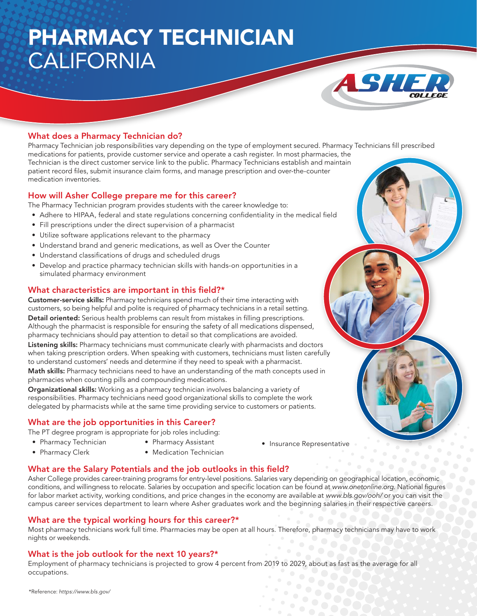# PHARMACY TECHNICIAN CALIFORNIA



### What does a Pharmacy Technician do?

Pharmacy Technician job responsibilities vary depending on the type of employment secured. Pharmacy Technicians fill prescribed medications for patients, provide customer service and operate a cash register. In most pharmacies, the Technician is the direct customer service link to the public. Pharmacy Technicians establish and maintain patient record files, submit insurance claim forms, and manage prescription and over-the-counter medication inventories.

#### How will Asher College prepare me for this career?

The Pharmacy Technician program provides students with the career knowledge to:

- Adhere to HIPAA, federal and state regulations concerning confidentiality in the medical field
- Fill prescriptions under the direct supervision of a pharmacist
- Utilize software applications relevant to the pharmacy
- Understand brand and generic medications, as well as Over the Counter
- Understand classifications of drugs and scheduled drugs
- Develop and practice pharmacy technician skills with hands-on opportunities in a simulated pharmacy environment

#### What characteristics are important in this field?\*

Customer-service skills: Pharmacy technicians spend much of their time interacting with customers, so being helpful and polite is required of pharmacy technicians in a retail setting. Detail oriented: Serious health problems can result from mistakes in filling prescriptions. Although the pharmacist is responsible for ensuring the safety of all medications dispensed, pharmacy technicians should pay attention to detail so that complications are avoided.

Listening skills: Pharmacy technicians must communicate clearly with pharmacists and doctors when taking prescription orders. When speaking with customers, technicians must listen carefully to understand customers' needs and determine if they need to speak with a pharmacist.

Math skills: Pharmacy technicians need to have an understanding of the math concepts used in pharmacies when counting pills and compounding medications.

Organizational skills: Working as a pharmacy technician involves balancing a variety of responsibilities. Pharmacy technicians need good organizational skills to complete the work delegated by pharmacists while at the same time providing service to customers or patients.

### What are the job opportunities in this Career?

The PT degree program is appropriate for job roles including:

- Pharmacy Technician
- Pharmacy Assistant
- Pharmacy Clerk
- Medication Technician
- Insurance Representative

### What are the Salary Potentials and the job outlooks in this field?

Asher College provides career-training programs for entry-level positions. Salaries vary depending on geographical location, economic conditions, and willingness to relocate. Salaries by occupation and specific location can be found at www.onetonline.org. National figures for labor market activity, working conditions, and price changes in the economy are available at www.bls.gov/ooh/ or you can visit the campus career services department to learn where Asher graduates work and the beginning salaries in their respective careers.

### What are the typical working hours for this career?\*

Most pharmacy technicians work full time. Pharmacies may be open at all hours. Therefore, pharmacy technicians may have to work nights or weekends.

### What is the job outlook for the next 10 years?\*

Employment of pharmacy technicians is projected to grow 4 percent from 2019 to 2029, about as fast as the average for all occupations.